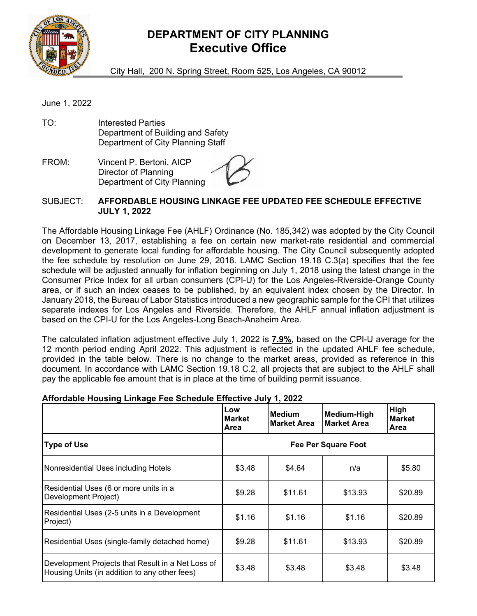

## **DEPARTMENT OF CITY PLANNING Executive Office**

City Hall, 200 N. Spring Street, Room 525, Los Angeles, CA 90012

June 1, 2022

TO: Interested Parties Department of Building and Safety Department of City Planning Staff

FROM: Vincent P. Bertoni, AICP Director of Planning Department of City Planning

## SUBJECT: **AFFORDABLE HOUSING LINKAGE FEE UPDATED FEE SCHEDULE EFFECTIVE JULY 1, 2022**

The Affordable Housing Linkage Fee (AHLF) Ordinance (No. 185,342) was adopted by the City Council on December 13, 2017, establishing a fee on certain new market-rate residential and commercial development to generate local funding for affordable housing. The City Council subsequently adopted the fee schedule by resolution on June 29, 2018. LAMC Section 19.18 C.3(a) specifies that the fee schedule will be adjusted annually for inflation beginning on July 1, 2018 using the latest change in the Consumer Price Index for all urban consumers (CPI-U) for the Los Angeles-Riverside-Orange County area, or if such an index ceases to be published, by an equivalent index chosen by the Director. In January 2018, the Bureau of Labor Statistics introduced a new geographic sample for the CPI that utilizes separate indexes for Los Angeles and Riverside. Therefore, the AHLF annual inflation adjustment is based on the CPI-U for the Los Angeles-Long Beach-Anaheim Area.

The calculated inflation adjustment effective July 1, 2022 is **7.9%**, based on the CPI-U average for the 12 month period ending April 2022. This adjustment is reflected in the updated AHLF fee schedule, provided in the table below. There is no change to the market areas, provided as reference in this document. In accordance with LAMC Section 19.18 C.2, all projects that are subject to the AHLF shall pay the applicable fee amount that is in place at the time of building permit issuance.

|                                                                                                    | Low<br><b>Market</b><br>Area | Medium<br><b>Market Area</b> | <b>Medium-High</b><br><b>Market Area</b> | High<br><b>Market</b><br><b>Area</b> |
|----------------------------------------------------------------------------------------------------|------------------------------|------------------------------|------------------------------------------|--------------------------------------|
| <b>Type of Use</b>                                                                                 | <b>Fee Per Square Foot</b>   |                              |                                          |                                      |
| Nonresidential Uses including Hotels                                                               | \$3.48                       | \$4.64                       | n/a                                      | \$5.80                               |
| Residential Uses (6 or more units in a<br>Development Project)                                     | \$9.28                       | \$11.61                      | \$13.93                                  | \$20.89                              |
| Residential Uses (2-5 units in a Development<br>Project)                                           | \$1.16                       | \$1.16                       | \$1.16                                   | \$20.89                              |
| Residential Uses (single-family detached home)                                                     | \$9.28                       | \$11.61                      | \$13.93                                  | \$20.89                              |
| Development Projects that Result in a Net Loss of<br>Housing Units (in addition to any other fees) | \$3.48                       | \$3.48                       | \$3.48                                   | \$3.48                               |

## **Affordable Housing Linkage Fee Schedule Effective July 1, 2022**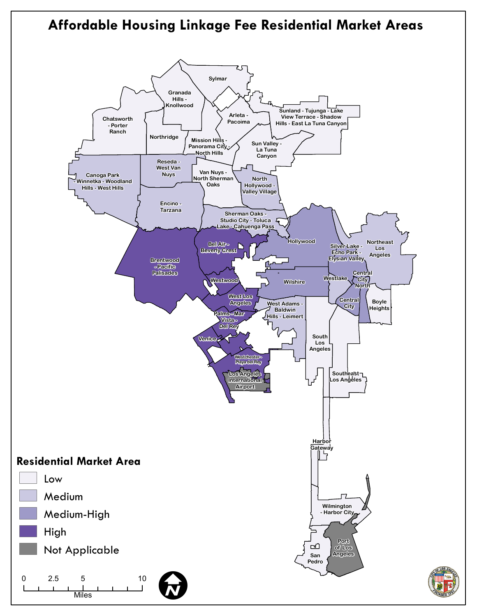